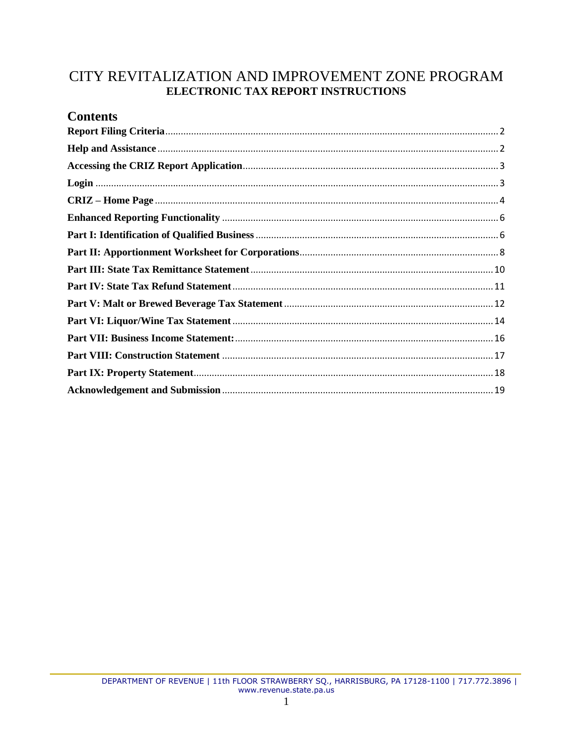# CITY REVITALIZATION AND IMPROVEMENT ZONE PROGRAM ELECTRONIC TAX REPORT INSTRUCTIONS

# **Contents**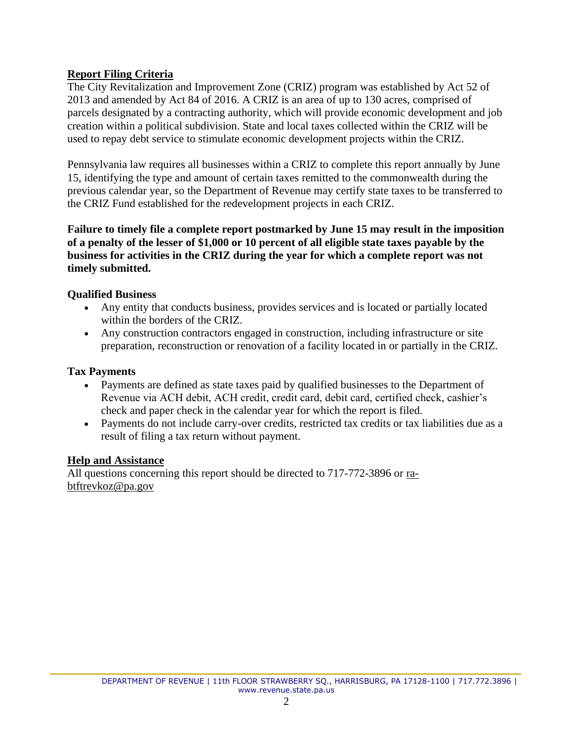# <span id="page-1-0"></span>**Report Filing Criteria**

The City Revitalization and Improvement Zone (CRIZ) program was established by Act 52 of 2013 and amended by Act 84 of 2016. A CRIZ is an area of up to 130 acres, comprised of parcels designated by a contracting authority, which will provide economic development and job creation within a political subdivision. State and local taxes collected within the CRIZ will be used to repay debt service to stimulate economic development projects within the CRIZ.

Pennsylvania law requires all businesses within a CRIZ to complete this report annually by June 15, identifying the type and amount of certain taxes remitted to the commonwealth during the previous calendar year, so the Department of Revenue may certify state taxes to be transferred to the CRIZ Fund established for the redevelopment projects in each CRIZ.

**Failure to timely file a complete report postmarked by June 15 may result in the imposition of a penalty of the lesser of \$1,000 or 10 percent of all eligible state taxes payable by the business for activities in the CRIZ during the year for which a complete report was not timely submitted.**

## **Qualified Business**

- Any entity that conducts business, provides services and is located or partially located within the borders of the CRIZ.
- Any construction contractors engaged in construction, including infrastructure or site preparation, reconstruction or renovation of a facility located in or partially in the CRIZ.

#### **Tax Payments**

- Payments are defined as state taxes paid by qualified businesses to the Department of Revenue via ACH debit, ACH credit, credit card, debit card, certified check, cashier's check and paper check in the calendar year for which the report is filed.
- Payments do not include carry-over credits, restricted tax credits or tax liabilities due as a result of filing a tax return without payment.

## <span id="page-1-1"></span>**Help and Assistance**

All questions concerning this report should be directed to 717-772-3896 or [ra](mailto:ra-btftrevkoz@pa.gov)[btftrevkoz@pa.gov](mailto:ra-btftrevkoz@pa.gov)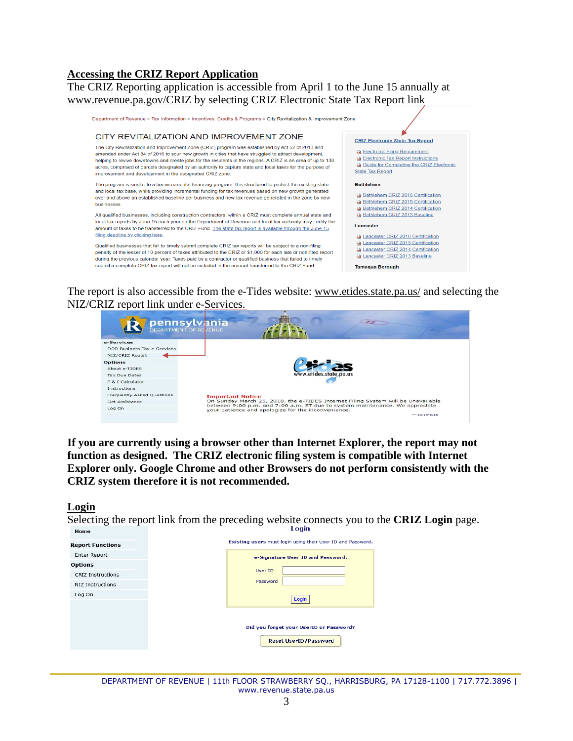#### <span id="page-2-0"></span>**Accessing the CRIZ Report Application**

The CRIZ Reporting application is accessible from April 1 to the June 15 annually at [www.revenue.pa.gov/CRIZ](http://www.revenue.pa.gov/CRIZ) by selecting CRIZ Electronic State Tax Report link



The report is also accessible from the e-Tides website: <u>www.etides.state.pa.us/</u> and selecting the NIZ/CRIZ report link under e-Services.



**If you are currently using a browser other than Internet Explorer, the report may not function as designed. The CRIZ electronic filing system is compatible with Internet Explorer only. Google Chrome and other Browsers do not perform consistently with the CRIZ system therefore it is not recommended.**

#### <span id="page-2-1"></span>**Login**

Selecting the report link from the preceding website connects you to the **CRIZ Login** page.Home

| <b>Report Functions</b>                    |
|--------------------------------------------|
| Enter Report                               |
| <b>Options</b><br><b>CRIZ Instructions</b> |
| NIZ Instructions                           |
| Log On                                     |
|                                            |
|                                            |
|                                            |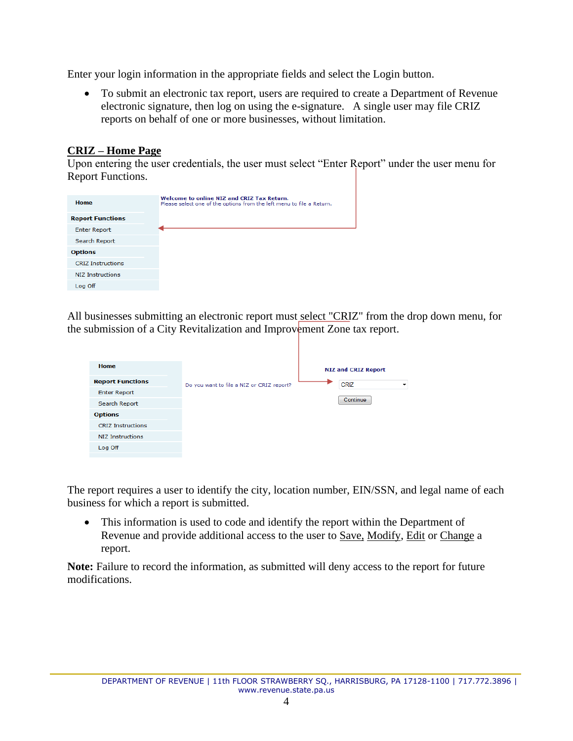Enter your login information in the appropriate fields and select the Login button.

• To submit an electronic tax report, users are required to create a Department of Revenue electronic signature, then log on using the e-signature. A single user may file CRIZ reports on behalf of one or more businesses, without limitation.

# <span id="page-3-0"></span>**CRIZ – Home Page**

Upon entering the user credentials, the user must select "Enter Report" under the user menu for Report Functions.

| Home                     | Welcome to online NIZ and CRIZ Tax Return.<br>Please select one of the options from the left menu to file a Return. |
|--------------------------|---------------------------------------------------------------------------------------------------------------------|
| <b>Report Functions</b>  |                                                                                                                     |
| <b>Enter Report</b>      |                                                                                                                     |
| Search Report            |                                                                                                                     |
| <b>Options</b>           |                                                                                                                     |
| <b>CRIZ Instructions</b> |                                                                                                                     |
| <b>NIZ Instructions</b>  |                                                                                                                     |
| Log Off                  |                                                                                                                     |

All businesses submitting an electronic report must select "CRIZ" from the drop down menu, for the submission of a City Revitalization and Improvement Zone tax report.

| Home                     |                                           | <b>NIZ and CRIZ Report</b> |
|--------------------------|-------------------------------------------|----------------------------|
| <b>Report Functions</b>  | Do you want to file a NIZ or CRIZ report? | <b>CRIZ</b><br>▼           |
| <b>Enter Report</b>      |                                           |                            |
| Search Report            |                                           | Continue                   |
| <b>Options</b>           |                                           |                            |
| <b>CRIZ Instructions</b> |                                           |                            |
| <b>NIZ Instructions</b>  |                                           |                            |
| Log Off                  |                                           |                            |
|                          |                                           |                            |

The report requires a user to identify the city, location number, EIN/SSN, and legal name of each business for which a report is submitted.

• This information is used to code and identify the report within the Department of Revenue and provide additional access to the user to Save, Modify, Edit or Change a report.

**Note:** Failure to record the information, as submitted will deny access to the report for future modifications.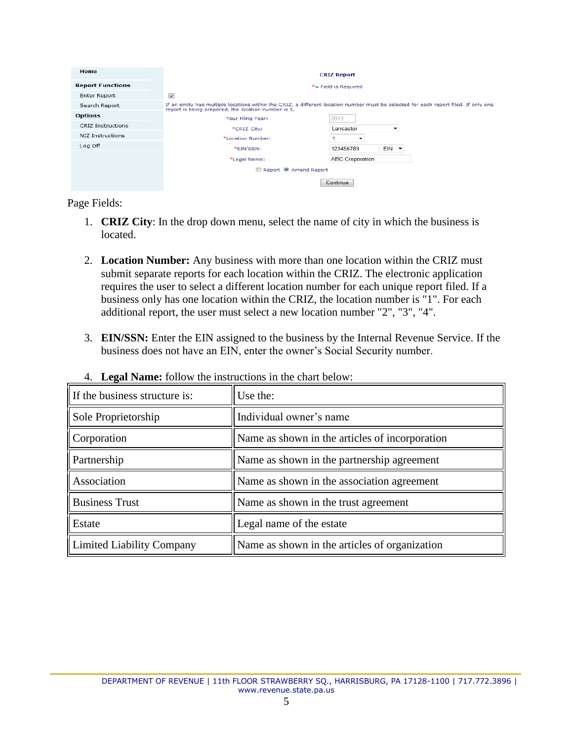| Home                     |                                                                                                                                                                                             | <b>CRIZ Report</b>       |         |  |  |  |
|--------------------------|---------------------------------------------------------------------------------------------------------------------------------------------------------------------------------------------|--------------------------|---------|--|--|--|
| <b>Report Functions</b>  | $*$ = Field is Required                                                                                                                                                                     |                          |         |  |  |  |
| <b>Enter Report</b>      | $\overline{\mathbf{v}}$                                                                                                                                                                     |                          |         |  |  |  |
| Search Report            | If an entity has multiple locations within the CRIZ, a different location number must be selected for each report filed. If only one<br>report is being prepared, the location number is 1. |                          |         |  |  |  |
| <b>Options</b>           | Your Filing Year:                                                                                                                                                                           | 2013                     |         |  |  |  |
| <b>CRIZ Instructions</b> | *CRIZ City:                                                                                                                                                                                 | Lancaster                | ▼       |  |  |  |
| NIZ Instructions         | *Location Number:                                                                                                                                                                           | $\overline{\phantom{a}}$ |         |  |  |  |
| Log Off                  | *EIN/SSN:                                                                                                                                                                                   | 123456789                | $EIN -$ |  |  |  |
|                          | *Legal Name:                                                                                                                                                                                | <b>ABC Croporation</b>   |         |  |  |  |
|                          | Report © Amend Report                                                                                                                                                                       |                          |         |  |  |  |
|                          |                                                                                                                                                                                             | Continue                 |         |  |  |  |

Page Fields:

- 1. **CRIZ City**: In the drop down menu, select the name of city in which the business is located.
- 2. **Location Number:** Any business with more than one location within the CRIZ must submit separate reports for each location within the CRIZ. The electronic application requires the user to select a different location number for each unique report filed. If a business only has one location within the CRIZ, the location number is "1". For each additional report, the user must select a new location number "2", "3", "4".
- 3. **EIN/SSN:** Enter the EIN assigned to the business by the Internal Revenue Service. If the business does not have an EIN, enter the owner's Social Security number.

| If the business structure is:    | Use the:                                       |
|----------------------------------|------------------------------------------------|
| Sole Proprietorship              | Individual owner's name                        |
| Corporation                      | Name as shown in the articles of incorporation |
| Partnership                      | Name as shown in the partnership agreement     |
| Association                      | Name as shown in the association agreement     |
| <b>Business Trust</b>            | Name as shown in the trust agreement           |
| Estate                           | Legal name of the estate                       |
| <b>Limited Liability Company</b> | Name as shown in the articles of organization  |

4. **Legal Name:** follow the instructions in the chart below: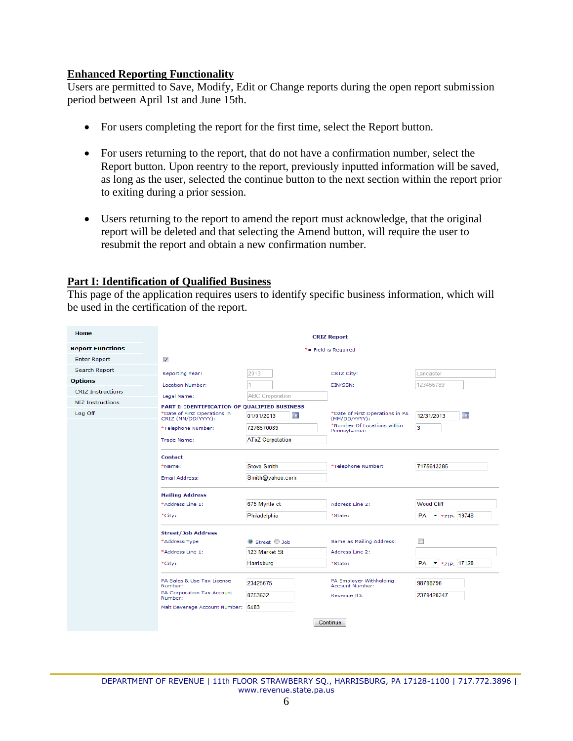#### <span id="page-5-0"></span>**Enhanced Reporting Functionality**

Users are permitted to Save, Modify, Edit or Change reports during the open report submission period between April 1st and June 15th.

- For users completing the report for the first time, select the Report button.
- For users returning to the report, that do not have a confirmation number, select the Report button. Upon reentry to the report, previously inputted information will be saved, as long as the user, selected the continue button to the next section within the report prior to exiting during a prior session.
- Users returning to the report to amend the report must acknowledge, that the original report will be deleted and that selecting the Amend button, will require the user to resubmit the report and obtain a new confirmation number.

## <span id="page-5-1"></span>**Part I: Identification of Qualified Business**

This page of the application requires users to identify specific business information, which will be used in the certification of the report.

| Home                     | <b>CRIZ Report</b>                                                                                 |                          |                                                  |                                         |  |  |  |  |
|--------------------------|----------------------------------------------------------------------------------------------------|--------------------------|--------------------------------------------------|-----------------------------------------|--|--|--|--|
| <b>Report Functions</b>  |                                                                                                    |                          | *= Field is Required                             |                                         |  |  |  |  |
| <b>Enter Report</b>      | $\sqrt{2}$                                                                                         |                          |                                                  |                                         |  |  |  |  |
| Search Report            | <b>Reporting Year:</b>                                                                             | 2013                     | CRIZ City:                                       | Lancaster                               |  |  |  |  |
| <b>Options</b>           | Location Number:                                                                                   |                          | EIN/SSN:                                         | 123456789                               |  |  |  |  |
| <b>CRIZ Instructions</b> |                                                                                                    | <b>ABC Croporation</b>   |                                                  |                                         |  |  |  |  |
| NIZ Instructions         | Legal Name:                                                                                        |                          |                                                  |                                         |  |  |  |  |
| Log Off                  | PART I: IDENTIFICATION OF OUALIFIED BUSINESS<br>*Date of First Operations in<br>CRIZ (MM/DD/YYYY): | <b>THE</b><br>01/01/2013 | *Date of First Operations in PA<br>(MM/DD/YYYY): | <b>THE</b><br>12/31/2013                |  |  |  |  |
|                          | *Telephone Number:                                                                                 | 7276570089               | *Number Of Locations within<br>Pennsylvania:     | 3                                       |  |  |  |  |
|                          | Trade Name:                                                                                        | <b>AToZ Corpotation</b>  |                                                  |                                         |  |  |  |  |
|                          | <b>Contact</b>                                                                                     |                          |                                                  |                                         |  |  |  |  |
|                          | *Name:                                                                                             | <b>Steve Smith</b>       | *Telephone Number:                               | 7175643385                              |  |  |  |  |
|                          | <b>Email Address:</b>                                                                              | Smith@yahoo.com          |                                                  |                                         |  |  |  |  |
|                          | <b>Mailing Address</b>                                                                             |                          |                                                  |                                         |  |  |  |  |
|                          | *Address Line 1:                                                                                   | 675 Myrtle ct            | Address Line 2:                                  | Wood Cliff                              |  |  |  |  |
|                          | *City:                                                                                             | Philadelphia             | *State:                                          | PA $\bullet$ * $*_{\text{ZIP}}$ ; 19748 |  |  |  |  |
|                          | <b>Street/Job Address</b>                                                                          |                          |                                                  |                                         |  |  |  |  |
|                          | *Address Type                                                                                      | Street 3ob               | Same as Mailing Address:                         | $\blacksquare$                          |  |  |  |  |
|                          | *Address Line 1:                                                                                   | 123 Market St            | Address Line 2:                                  |                                         |  |  |  |  |
|                          | *City:                                                                                             | Harrisburg               | *State:                                          | PA $\star$ * $_{ZIP}$ ; 17128           |  |  |  |  |
|                          | PA Sales & Use Tax License<br>Number:                                                              | 23425675                 | PA Employer Withholding<br>Account Number:       | 98798796                                |  |  |  |  |
|                          | PA Corporation Tax Account<br>Number:                                                              | 8753632                  | Revenue ID:                                      | 2379428347                              |  |  |  |  |
|                          | Malt Beverage Account Number: 5483                                                                 |                          |                                                  |                                         |  |  |  |  |
|                          |                                                                                                    |                          | Continue                                         |                                         |  |  |  |  |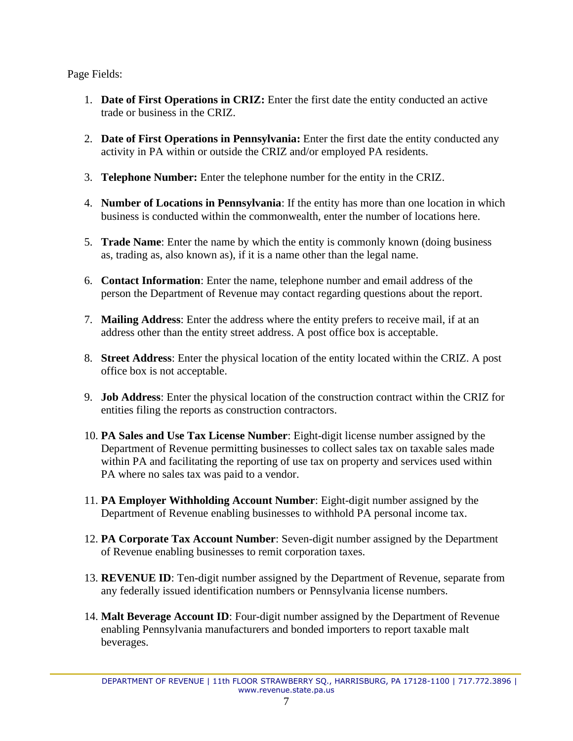- 1. **Date of First Operations in CRIZ:** Enter the first date the entity conducted an active trade or business in the CRIZ.
- 2. **Date of First Operations in Pennsylvania:** Enter the first date the entity conducted any activity in PA within or outside the CRIZ and/or employed PA residents.
- 3. **Telephone Number:** Enter the telephone number for the entity in the CRIZ.
- 4. **Number of Locations in Pennsylvania**: If the entity has more than one location in which business is conducted within the commonwealth, enter the number of locations here.
- 5. **Trade Name**: Enter the name by which the entity is commonly known (doing business as, trading as, also known as), if it is a name other than the legal name.
- 6. **Contact Information**: Enter the name, telephone number and email address of the person the Department of Revenue may contact regarding questions about the report.
- 7. **Mailing Address**: Enter the address where the entity prefers to receive mail, if at an address other than the entity street address. A post office box is acceptable.
- 8. **Street Address**: Enter the physical location of the entity located within the CRIZ. A post office box is not acceptable.
- 9. **Job Address**: Enter the physical location of the construction contract within the CRIZ for entities filing the reports as construction contractors.
- 10. **PA Sales and Use Tax License Number**: Eight-digit license number assigned by the Department of Revenue permitting businesses to collect sales tax on taxable sales made within PA and facilitating the reporting of use tax on property and services used within PA where no sales tax was paid to a vendor.
- 11. **PA Employer Withholding Account Number**: Eight-digit number assigned by the Department of Revenue enabling businesses to withhold PA personal income tax.
- 12. **PA Corporate Tax Account Number**: Seven-digit number assigned by the Department of Revenue enabling businesses to remit corporation taxes.
- 13. **REVENUE ID**: Ten-digit number assigned by the Department of Revenue, separate from any federally issued identification numbers or Pennsylvania license numbers.
- 14. **Malt Beverage Account ID**: Four-digit number assigned by the Department of Revenue enabling Pennsylvania manufacturers and bonded importers to report taxable malt beverages.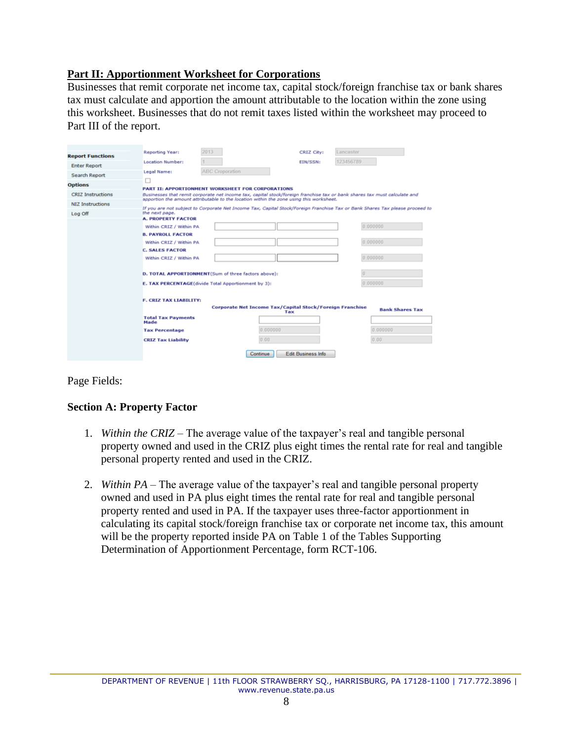# <span id="page-7-0"></span>**Part II: Apportionment Worksheet for Corporations**

Businesses that remit corporate net income tax, capital stock/foreign franchise tax or bank shares tax must calculate and apportion the amount attributable to the location within the zone using this worksheet. Businesses that do not remit taxes listed within the worksheet may proceed to Part III of the report.

| <b>Report Functions</b><br>123456789<br><b>Location Number:</b><br>EIN/SSN:<br><b>Enter Report</b><br>ABC Croporation<br>Legal Name:<br><b>Search Report</b><br><b>Options</b><br>PART II: APPORTIONMENT WORKSHEET FOR CORPORATIONS              | 2013<br>Reporting Year: | CRIZ City: | Lancaster |
|--------------------------------------------------------------------------------------------------------------------------------------------------------------------------------------------------------------------------------------------------|-------------------------|------------|-----------|
|                                                                                                                                                                                                                                                  |                         |            |           |
|                                                                                                                                                                                                                                                  |                         |            |           |
|                                                                                                                                                                                                                                                  |                         |            |           |
|                                                                                                                                                                                                                                                  |                         |            |           |
|                                                                                                                                                                                                                                                  |                         |            |           |
| <b>CRIZ Instructions</b><br>Businesses that remit corporate net income tax, capital stock/foreign franchise tax or bank shares tax must calculate and<br>apportion the amount attributable to the location within the zone using this worksheet. |                         |            |           |
| <b>NIZ Instructions</b><br>If you are not subject to Corporate Net Income Tax, Capital Stock/Foreign Franchise Tax or Bank Shares Tax please proceed to                                                                                          |                         |            |           |
| the next page.<br>Log Off                                                                                                                                                                                                                        |                         |            |           |
| <b>A. PROPERTY FACTOR</b>                                                                                                                                                                                                                        |                         |            |           |
| 0.000000<br>Within CRIZ / Within PA                                                                                                                                                                                                              |                         |            |           |
| <b>B. PAYROLL FACTOR</b>                                                                                                                                                                                                                         |                         |            |           |
| 0.000000<br>Within CRIZ / Within PA                                                                                                                                                                                                              |                         |            |           |
| <b>C. SALES FACTOR</b>                                                                                                                                                                                                                           |                         |            |           |
| 0.000000<br>Within CRIZ / Within PA                                                                                                                                                                                                              |                         |            |           |
|                                                                                                                                                                                                                                                  |                         |            |           |
| D. TOTAL APPORTIONMENT(Sum of three factors above):                                                                                                                                                                                              |                         |            |           |
| 0.000000<br>E. TAX PERCENTAGE(divide Total Apportionment by 3):                                                                                                                                                                                  |                         |            |           |
|                                                                                                                                                                                                                                                  |                         |            |           |
| F. CRIZ TAX LIABILITY:                                                                                                                                                                                                                           |                         |            |           |
| Corporate Net Income Tax/Capital Stock/Foreign Franchise<br><b>Bank Shares Tax</b><br>Tax                                                                                                                                                        |                         |            |           |
| <b>Total Tax Payments</b><br>Made                                                                                                                                                                                                                |                         |            |           |
| 0.000000<br>0.000000<br><b>Tax Percentage</b>                                                                                                                                                                                                    |                         |            |           |
| 0.00<br>0.00<br><b>CRIZ Tax Liability</b>                                                                                                                                                                                                        |                         |            |           |
| <b>Edit Business Info</b>                                                                                                                                                                                                                        |                         |            |           |
| Continue                                                                                                                                                                                                                                         |                         |            |           |

Page Fields:

## **Section A: Property Factor**

- 1. *Within the CRIZ –* The average value of the taxpayer's real and tangible personal property owned and used in the CRIZ plus eight times the rental rate for real and tangible personal property rented and used in the CRIZ.
- 2. *Within PA –* The average value of the taxpayer's real and tangible personal property owned and used in PA plus eight times the rental rate for real and tangible personal property rented and used in PA. If the taxpayer uses three-factor apportionment in calculating its capital stock/foreign franchise tax or corporate net income tax, this amount will be the property reported inside PA on Table 1 of the Tables Supporting Determination of Apportionment Percentage, form RCT-106.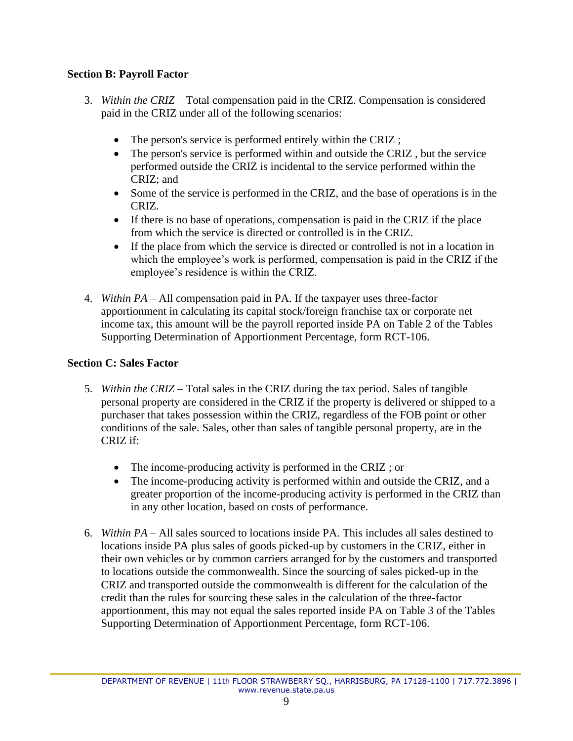# **Section B: Payroll Factor**

- 3. *Within the CRIZ* Total compensation paid in the CRIZ. Compensation is considered paid in the CRIZ under all of the following scenarios:
	- The person's service is performed entirely within the CRIZ;
	- The person's service is performed within and outside the CRIZ, but the service performed outside the CRIZ is incidental to the service performed within the CRIZ; and
	- Some of the service is performed in the CRIZ, and the base of operations is in the CRIZ.
	- If there is no base of operations, compensation is paid in the CRIZ if the place from which the service is directed or controlled is in the CRIZ.
	- If the place from which the service is directed or controlled is not in a location in which the employee's work is performed, compensation is paid in the CRIZ if the employee's residence is within the CRIZ.
- 4. *Within PA* All compensation paid in PA. If the taxpayer uses three-factor apportionment in calculating its capital stock/foreign franchise tax or corporate net income tax, this amount will be the payroll reported inside PA on Table 2 of the Tables Supporting Determination of Apportionment Percentage, form RCT-106.

# **Section C: Sales Factor**

- 5. *Within the CRIZ* Total sales in the CRIZ during the tax period. Sales of tangible personal property are considered in the CRIZ if the property is delivered or shipped to a purchaser that takes possession within the CRIZ, regardless of the FOB point or other conditions of the sale. Sales, other than sales of tangible personal property, are in the CRIZ if:
	- The income-producing activity is performed in the CRIZ; or
	- The income-producing activity is performed within and outside the CRIZ, and a greater proportion of the income-producing activity is performed in the CRIZ than in any other location, based on costs of performance.
- 6. *Within PA* All sales sourced to locations inside PA. This includes all sales destined to locations inside PA plus sales of goods picked-up by customers in the CRIZ, either in their own vehicles or by common carriers arranged for by the customers and transported to locations outside the commonwealth. Since the sourcing of sales picked-up in the CRIZ and transported outside the commonwealth is different for the calculation of the credit than the rules for sourcing these sales in the calculation of the three-factor apportionment, this may not equal the sales reported inside PA on Table 3 of the Tables Supporting Determination of Apportionment Percentage, form RCT-106.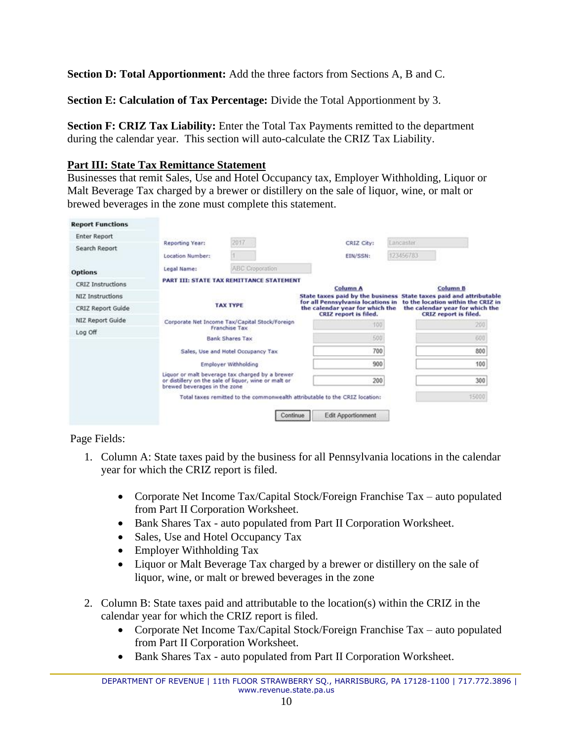**Section D: Total Apportionment:** Add the three factors from Sections A, B and C.

**Section E: Calculation of Tax Percentage:** Divide the Total Apportionment by 3.

**Section F: CRIZ Tax Liability:** Enter the Total Tax Payments remitted to the department during the calendar year. This section will auto-calculate the CRIZ Tax Liability.

# <span id="page-9-0"></span>**Part III: State Tax Remittance Statement**

Businesses that remit Sales, Use and Hotel Occupancy tax, Employer Withholding, Liquor or Malt Beverage Tax charged by a brewer or distillery on the sale of liquor, wine, or malt or brewed beverages in the zone must complete this statement.

| <b>Report Functions</b>  |                                     |                                                                                                         |                                                                                                      |                        |                                                                                                |
|--------------------------|-------------------------------------|---------------------------------------------------------------------------------------------------------|------------------------------------------------------------------------------------------------------|------------------------|------------------------------------------------------------------------------------------------|
| <b>Enter Report</b>      |                                     | 2017                                                                                                    |                                                                                                      |                        |                                                                                                |
| Search Report            | Reporting Year:<br>Location Number: |                                                                                                         | CRIZ City:<br>EIN/SSN:                                                                               | Lancaster<br>123456783 |                                                                                                |
| <b>Options</b>           | Legal Name:                         | ABC Croporation                                                                                         |                                                                                                      |                        |                                                                                                |
| <b>CRIZ Instructions</b> |                                     | PART III: STATE TAX REMITTANCE STATEMENT                                                                | <b>Column A</b>                                                                                      |                        | <b>Column B</b>                                                                                |
| NIZ Instructions         |                                     |                                                                                                         | State taxes paid by the business State taxes paid and attributable                                   |                        |                                                                                                |
| CRIZ Report Guide        |                                     | <b>TAX TYPE</b>                                                                                         | for all Pennsylvania locations in<br>the calendar year for which the<br><b>CRIZ</b> report is filed. |                        | to the location within the CRIZ in<br>the calendar year for which the<br>CRIZ report is filed. |
| NIZ Report Guide         |                                     | Corporate Net Income Tax/Capital Stock/Foreign                                                          | 100                                                                                                  |                        | 200                                                                                            |
| Log Off                  |                                     | Franchise Tax<br><b>Bank Shares Tax</b>                                                                 | 500                                                                                                  |                        | 600                                                                                            |
|                          |                                     | Sales, Use and Hotel Occupancy Tax                                                                      | 700                                                                                                  |                        | 800                                                                                            |
|                          |                                     | <b>Employer Withholding</b>                                                                             | 900                                                                                                  |                        | 100                                                                                            |
|                          | brewed beverages in the zone        | Liquor or malt beverage tax charged by a brewer<br>or distillery on the sale of liquor, wine or malt or | 200                                                                                                  |                        | 300                                                                                            |
|                          |                                     |                                                                                                         | Total taxes remitted to the commonwealth attributable to the CRIZ location:                          |                        | 15000                                                                                          |
|                          |                                     | Continue                                                                                                | Edit Apportionment                                                                                   |                        |                                                                                                |

- 1. Column A: State taxes paid by the business for all Pennsylvania locations in the calendar year for which the CRIZ report is filed.
	- Corporate Net Income Tax/Capital Stock/Foreign Franchise Tax auto populated from Part II Corporation Worksheet.
	- Bank Shares Tax auto populated from Part II Corporation Worksheet.
	- Sales, Use and Hotel Occupancy Tax
	- Employer Withholding Tax
	- Liquor or Malt Beverage Tax charged by a brewer or distillery on the sale of liquor, wine, or malt or brewed beverages in the zone
- 2. Column B: State taxes paid and attributable to the location(s) within the CRIZ in the calendar year for which the CRIZ report is filed.
	- Corporate Net Income Tax/Capital Stock/Foreign Franchise Tax auto populated from Part II Corporation Worksheet.
	- Bank Shares Tax auto populated from Part II Corporation Worksheet.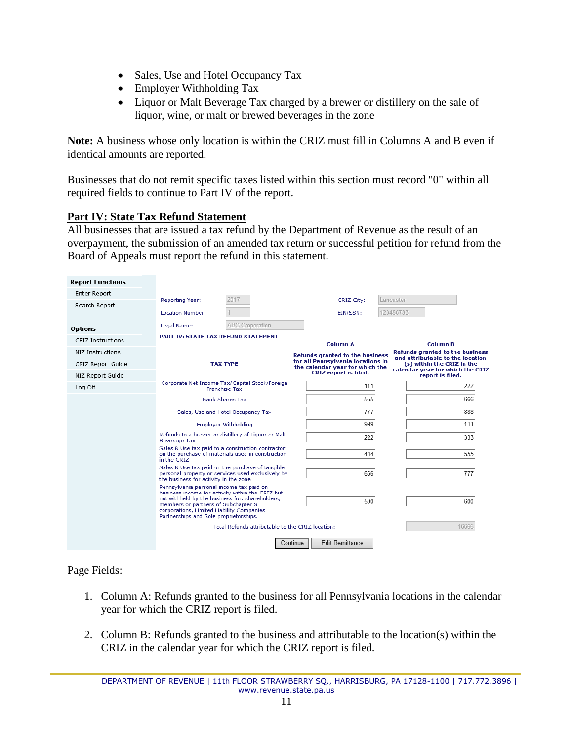- Sales, Use and Hotel Occupancy Tax
- Employer Withholding Tax
- Liquor or Malt Beverage Tax charged by a brewer or distillery on the sale of liquor, wine, or malt or brewed beverages in the zone

**Note:** A business whose only location is within the CRIZ must fill in Columns A and B even if identical amounts are reported.

Businesses that do not remit specific taxes listed within this section must record "0" within all required fields to continue to Part IV of the report.

## <span id="page-10-0"></span>**Part IV: State Tax Refund Statement**

All businesses that are issued a tax refund by the Department of Revenue as the result of an overpayment, the submission of an amended tax return or successful petition for refund from the Board of Appeals must report the refund in this statement.

| <b>Report Functions</b> |                                                                                                                             |                                                                                                        |          |                                                                      |           |                                                                |
|-------------------------|-----------------------------------------------------------------------------------------------------------------------------|--------------------------------------------------------------------------------------------------------|----------|----------------------------------------------------------------------|-----------|----------------------------------------------------------------|
| Enter Report            |                                                                                                                             | 2017                                                                                                   |          |                                                                      | Lancaster |                                                                |
| Search Report           | Reporting Year:                                                                                                             |                                                                                                        |          | CRIZ City:                                                           |           |                                                                |
|                         | <b>Location Number:</b>                                                                                                     |                                                                                                        |          | EIN/SSN:                                                             | 123456783 |                                                                |
| <b>Options</b>          | Legal Name:                                                                                                                 | <b>ABC Croporation</b>                                                                                 |          |                                                                      |           |                                                                |
| CRIZ Instructions       |                                                                                                                             | <b>PART IV: STATE TAX REFUND STATEMENT</b>                                                             |          | <b>Column A</b>                                                      |           | <b>Column B</b>                                                |
| NIZ Instructions        |                                                                                                                             |                                                                                                        |          | <b>Refunds granted to the business</b>                               |           | <b>Refunds aranted to the business</b>                         |
| CRIZ Report Guide       |                                                                                                                             | <b>TAX TYPE</b>                                                                                        |          | for all Pennsylvania locations in<br>the calendar year for which the |           | and attributable to the location<br>(s) within the CRIZ in the |
| NIZ Report Guide        |                                                                                                                             |                                                                                                        |          | <b>CRIZ</b> report is filed.                                         |           | calendar year for which the CRIZ<br>report is filed.           |
| Log Off                 |                                                                                                                             | Corporate Net Income Tax/Capital Stock/Foreign<br><b>Franchise Tax</b>                                 |          | 111                                                                  |           | 222                                                            |
|                         |                                                                                                                             | <b>Bank Shares Tax</b>                                                                                 |          | 555                                                                  |           | 666                                                            |
|                         |                                                                                                                             | Sales, Use and Hotel Occupancy Tax                                                                     |          | 777                                                                  |           | 888                                                            |
|                         |                                                                                                                             | <b>Employer Withholding</b>                                                                            |          | 999                                                                  |           | 111                                                            |
|                         | <b>Beverage Tax</b>                                                                                                         | Refunds to a brewer or distillery of Liquor or Malt                                                    |          | 222                                                                  |           | 333                                                            |
|                         | in the CRIZ                                                                                                                 | Sales & Use tax paid to a construction contractor<br>on the purchase of materials used in construction |          | 444                                                                  |           | 555                                                            |
|                         | the business for activity in the zone                                                                                       | Sales & Use tax paid on the purchase of tangible<br>personal property or services used exclusively by  |          | 666                                                                  |           | 777                                                            |
|                         | Pennsylvania personal income tax paid on                                                                                    | business income for activity within the CRIZ but                                                       |          |                                                                      |           |                                                                |
|                         | members or partners of Subchapter S<br>corporations, Limited Liability Companies,<br>Partnerships and Sole proprietorships. | not withheld by the business for: shareholders,                                                        |          | 500                                                                  |           | 600                                                            |
|                         |                                                                                                                             | Total Refunds attributable to the CRIZ location:                                                       |          |                                                                      |           | 16666                                                          |
|                         |                                                                                                                             |                                                                                                        | Continue | <b>Edit Remittance</b>                                               |           |                                                                |

- 1. Column A: Refunds granted to the business for all Pennsylvania locations in the calendar year for which the CRIZ report is filed.
- 2. Column B: Refunds granted to the business and attributable to the location(s) within the CRIZ in the calendar year for which the CRIZ report is filed.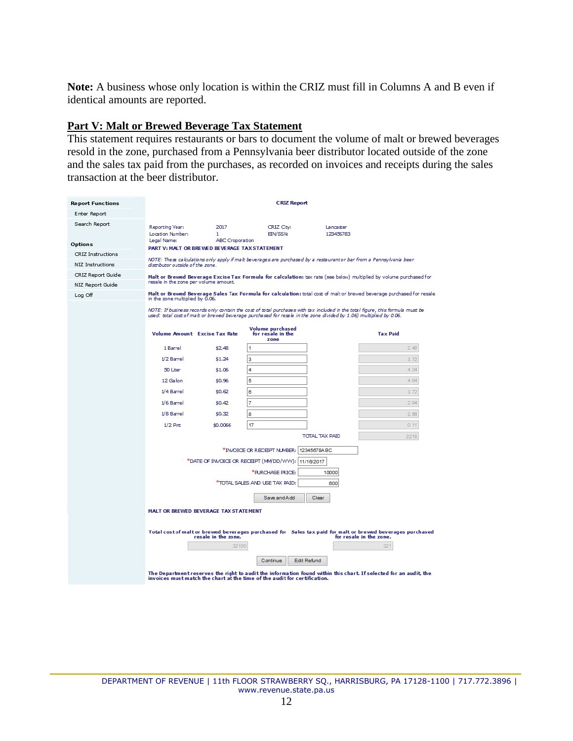**Note:** A business whose only location is within the CRIZ must fill in Columns A and B even if identical amounts are reported.

#### <span id="page-11-0"></span>**Part V: Malt or Brewed Beverage Tax Statement**

This statement requires restaurants or bars to document the volume of malt or brewed beverages resold in the zone, purchased from a Pennsylvania beer distributor located outside of the zone and the sales tax paid from the purchases, as recorded on invoices and receipts during the sales transaction at the beer distributor.

| <b>Report Functions</b>  |                                                                                                                                                         |                                                                  | <b>CRIZ Report</b>                                                                                                                                                                                                                                  |                        |                                                                                                                                       |  |  |  |  |
|--------------------------|---------------------------------------------------------------------------------------------------------------------------------------------------------|------------------------------------------------------------------|-----------------------------------------------------------------------------------------------------------------------------------------------------------------------------------------------------------------------------------------------------|------------------------|---------------------------------------------------------------------------------------------------------------------------------------|--|--|--|--|
| Enter Report             |                                                                                                                                                         |                                                                  |                                                                                                                                                                                                                                                     |                        |                                                                                                                                       |  |  |  |  |
| Search Report            | Reporting Year:<br>Location Number:                                                                                                                     | 2017<br>1                                                        | CRIZ City:<br><b>EIN/SSN:</b>                                                                                                                                                                                                                       | Lancaster<br>123456783 |                                                                                                                                       |  |  |  |  |
| <b>Options</b>           | Legal Name:                                                                                                                                             | ABC Croporation<br>PART V: MALT OR BREWED BEVERAGE TAX STATEMENT |                                                                                                                                                                                                                                                     |                        |                                                                                                                                       |  |  |  |  |
| <b>CRIZ Instructions</b> |                                                                                                                                                         |                                                                  |                                                                                                                                                                                                                                                     |                        |                                                                                                                                       |  |  |  |  |
| NIZ Instructions         | NOTE: These calculations only apply if malt beverages are purchased by a restaurant or bar from a Pennsylvania beer<br>distributor outside of the zone. |                                                                  |                                                                                                                                                                                                                                                     |                        |                                                                                                                                       |  |  |  |  |
| CRIZ Report Guide        | Malt or Brewed Beverage Excise Tax Formula for calculation: tax rate (see below) multiplied by volume purchased for                                     |                                                                  |                                                                                                                                                                                                                                                     |                        |                                                                                                                                       |  |  |  |  |
| NIZ Report Guide         |                                                                                                                                                         | resale in the zone per volume amount.                            |                                                                                                                                                                                                                                                     |                        |                                                                                                                                       |  |  |  |  |
| Log Off                  | in the zone multiplied by 0.06.                                                                                                                         |                                                                  |                                                                                                                                                                                                                                                     |                        | Malt or Brewed Beverage Sales Tax Formula for calculation: total cost of malt or brewed beverage purchased for resale                 |  |  |  |  |
|                          |                                                                                                                                                         |                                                                  | NOTE: If business records only contain the cost of total purchases with tax included in the total figure, this formula must be<br>used: total cost of malt or brewed beverage purchased for resale in the zone divided by 1.06) multiplied by 0.06. |                        |                                                                                                                                       |  |  |  |  |
|                          |                                                                                                                                                         | <b>Volume Amount Excise Tax Rate</b>                             | Volume purchased<br>for resale in the<br>zone                                                                                                                                                                                                       |                        | <b>Tax Paid</b>                                                                                                                       |  |  |  |  |
|                          | 1 Barrel                                                                                                                                                | \$2.48                                                           | $\overline{1}$                                                                                                                                                                                                                                      |                        | 2.48                                                                                                                                  |  |  |  |  |
|                          | 1/2 Barrel                                                                                                                                              | \$1.24                                                           | 3                                                                                                                                                                                                                                                   |                        | 3.72                                                                                                                                  |  |  |  |  |
|                          | 50 Liter                                                                                                                                                | \$1.06                                                           | 4                                                                                                                                                                                                                                                   |                        | 4.24                                                                                                                                  |  |  |  |  |
|                          | 12 Gallon                                                                                                                                               | \$0.96                                                           | 5                                                                                                                                                                                                                                                   |                        | 4.84                                                                                                                                  |  |  |  |  |
|                          | 1/4 Barrel                                                                                                                                              | \$0.62                                                           | 6                                                                                                                                                                                                                                                   |                        | 3.72                                                                                                                                  |  |  |  |  |
|                          | $1/6$ Barrel                                                                                                                                            | \$0,42                                                           | $\overline{7}$                                                                                                                                                                                                                                      |                        | 2.94                                                                                                                                  |  |  |  |  |
|                          | 1/8 Barrel                                                                                                                                              | \$0.32                                                           | 8                                                                                                                                                                                                                                                   |                        | 2.56                                                                                                                                  |  |  |  |  |
|                          | $1/2$ Pint                                                                                                                                              | \$0,0066                                                         | 17                                                                                                                                                                                                                                                  |                        | 0.11                                                                                                                                  |  |  |  |  |
|                          |                                                                                                                                                         |                                                                  |                                                                                                                                                                                                                                                     | <b>TOTAL TAX PAID</b>  | 2218                                                                                                                                  |  |  |  |  |
|                          |                                                                                                                                                         |                                                                  | *INVOICE OR RECEIPT NUMBER:                                                                                                                                                                                                                         | 12345678ABC            |                                                                                                                                       |  |  |  |  |
|                          |                                                                                                                                                         |                                                                  | *DATE OF INVOICE OR RECEIPT (MWDD/WW): 11/16/2017                                                                                                                                                                                                   |                        |                                                                                                                                       |  |  |  |  |
|                          |                                                                                                                                                         |                                                                  | *PURCHASE PRICE:                                                                                                                                                                                                                                    | 10000                  |                                                                                                                                       |  |  |  |  |
|                          |                                                                                                                                                         |                                                                  | *TOTAL SALES AND USE TAX PAID:                                                                                                                                                                                                                      | 600                    |                                                                                                                                       |  |  |  |  |
|                          |                                                                                                                                                         |                                                                  | Save and Add                                                                                                                                                                                                                                        | Clear                  |                                                                                                                                       |  |  |  |  |
|                          |                                                                                                                                                         | MALT OR BREWED BEVERAGE TAX STATEMENT                            |                                                                                                                                                                                                                                                     |                        |                                                                                                                                       |  |  |  |  |
|                          |                                                                                                                                                         | resale in the zone.                                              |                                                                                                                                                                                                                                                     |                        | Total cost of malt or brewed beverages purchased for Sales tax paid for malt or brewed beverages purchased<br>for resale in the zone. |  |  |  |  |
|                          |                                                                                                                                                         | 32100                                                            |                                                                                                                                                                                                                                                     |                        | 321                                                                                                                                   |  |  |  |  |
|                          |                                                                                                                                                         |                                                                  | Continue                                                                                                                                                                                                                                            | Edit Refund            |                                                                                                                                       |  |  |  |  |
|                          |                                                                                                                                                         |                                                                  | invoices must match the chart at the time of the audit for certification.                                                                                                                                                                           |                        | The Department reserves the right to audit the information found within this chart. If selected for an audit, the                     |  |  |  |  |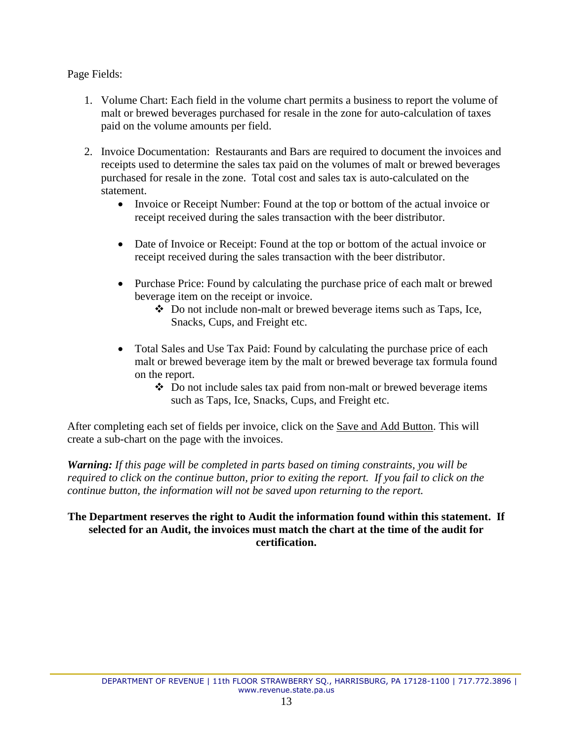# Page Fields:

- 1. Volume Chart: Each field in the volume chart permits a business to report the volume of malt or brewed beverages purchased for resale in the zone for auto-calculation of taxes paid on the volume amounts per field.
- 2. Invoice Documentation: Restaurants and Bars are required to document the invoices and receipts used to determine the sales tax paid on the volumes of malt or brewed beverages purchased for resale in the zone. Total cost and sales tax is auto-calculated on the statement.
	- Invoice or Receipt Number: Found at the top or bottom of the actual invoice or receipt received during the sales transaction with the beer distributor.
	- Date of Invoice or Receipt: Found at the top or bottom of the actual invoice or receipt received during the sales transaction with the beer distributor.
	- Purchase Price: Found by calculating the purchase price of each malt or brewed beverage item on the receipt or invoice.
		- ❖ Do not include non-malt or brewed beverage items such as Taps, Ice, Snacks, Cups, and Freight etc.
	- Total Sales and Use Tax Paid: Found by calculating the purchase price of each malt or brewed beverage item by the malt or brewed beverage tax formula found on the report.
		- ❖ Do not include sales tax paid from non-malt or brewed beverage items such as Taps, Ice, Snacks, Cups, and Freight etc.

After completing each set of fields per invoice, click on the Save and Add Button. This will create a sub-chart on the page with the invoices.

*Warning: If this page will be completed in parts based on timing constraints, you will be required to click on the continue button, prior to exiting the report. If you fail to click on the continue button, the information will not be saved upon returning to the report.* 

## **The Department reserves the right to Audit the information found within this statement. If selected for an Audit, the invoices must match the chart at the time of the audit for certification.**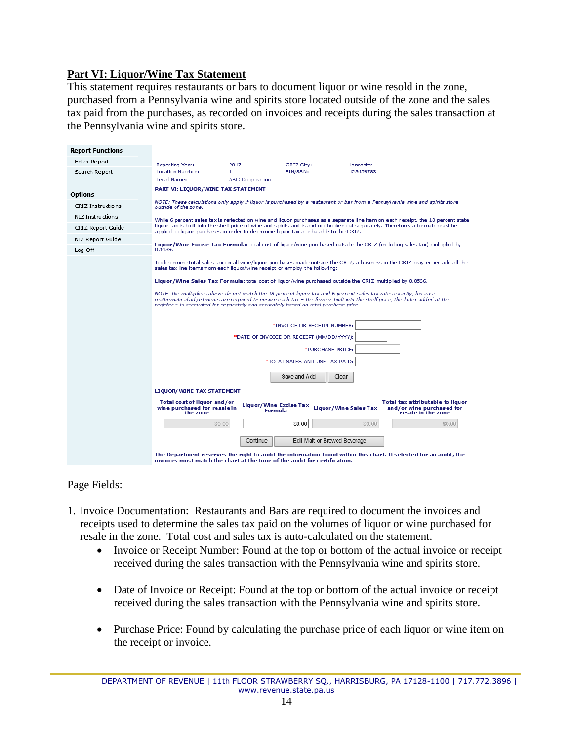# <span id="page-13-0"></span>**Part VI: Liquor/Wine Tax Statement**

This statement requires restaurants or bars to document liquor or wine resold in the zone, purchased from a Pennsylvania wine and spirits store located outside of the zone and the sales tax paid from the purchases, as recorded on invoices and receipts during the sales transaction at the Pennsylvania wine and spirits store.

| <b>Report Functions</b> |                                                                                                                                                                                                                                                                                                                                                                |                                          |                                           |                              |                                                                                     |  |  |  |
|-------------------------|----------------------------------------------------------------------------------------------------------------------------------------------------------------------------------------------------------------------------------------------------------------------------------------------------------------------------------------------------------------|------------------------------------------|-------------------------------------------|------------------------------|-------------------------------------------------------------------------------------|--|--|--|
| Enter Report            | Reporting Year:                                                                                                                                                                                                                                                                                                                                                | 2017                                     | CRIZ City:                                | Lancaster                    |                                                                                     |  |  |  |
| Search Report           | Location Number:                                                                                                                                                                                                                                                                                                                                               | 1                                        | EIN/SSN:                                  | 123456783                    |                                                                                     |  |  |  |
|                         | Legal Name:                                                                                                                                                                                                                                                                                                                                                    | <b>ABC Croporation</b>                   |                                           |                              |                                                                                     |  |  |  |
| <b>Options</b>          | PART VI: LIQUOR/WINE TAX STATEMENT                                                                                                                                                                                                                                                                                                                             |                                          |                                           |                              |                                                                                     |  |  |  |
| CRIZ Instructions       | NOTE: These calculations only apply if liquor is purchased by a restaurant or bar from a Pennsylvania wine and spirits store<br>outside of the zone.                                                                                                                                                                                                           |                                          |                                           |                              |                                                                                     |  |  |  |
| NIZ Instructions        |                                                                                                                                                                                                                                                                                                                                                                |                                          |                                           |                              |                                                                                     |  |  |  |
| CRIZ Report Guide       | While 6 percent sales tax is reflected on wine and liquor purchases as a separate line item on each receipt, the 18 percent state<br>liquor tax is built into the shelf price of wine and spirits and is and not broken out separately. Therefore, a formula must be<br>applied to liquor purchases in order to determine liquor tax attributable to the CRIZ. |                                          |                                           |                              |                                                                                     |  |  |  |
| NIZ Report Guide        | Liquor/Wine Excise Tax Formula: total cost of liquor/wine purchased outside the CRIZ (including sales tax) multiplied by                                                                                                                                                                                                                                       |                                          |                                           |                              |                                                                                     |  |  |  |
| Log Off                 | 0.1439.                                                                                                                                                                                                                                                                                                                                                        |                                          |                                           |                              |                                                                                     |  |  |  |
|                         | To determine total sales tax on all wine/liquor purchases made outside the CRIZ, a business in the CRIZ may either add all the<br>sales tax line-items from each liquor/wine receipt or employ the following:                                                                                                                                                  |                                          |                                           |                              |                                                                                     |  |  |  |
|                         | Liquor/Wine Sales Tax Formula: total cost of liquor/wine purchased outside the CRIZ multiplied by 0.0566.                                                                                                                                                                                                                                                      |                                          |                                           |                              |                                                                                     |  |  |  |
|                         | NOTE: the multipliers above do not match the 18 percent liquor tax and 6 percent sales tax rates exactly, because<br>mathematical adjustments are required to ensure each tax - the former built into the shelf price, the latter added at the<br>register - is accounted for separately and accurately based on total purchase price.                         |                                          |                                           |                              |                                                                                     |  |  |  |
|                         |                                                                                                                                                                                                                                                                                                                                                                |                                          | *INVOICE OR RECEIPT NUMBER:               |                              |                                                                                     |  |  |  |
|                         |                                                                                                                                                                                                                                                                                                                                                                |                                          | *DATE OF INVOICE OR RECEIPT (MM/DD/YYYY): |                              |                                                                                     |  |  |  |
|                         |                                                                                                                                                                                                                                                                                                                                                                |                                          | *PURCHASE PRICE:                          |                              |                                                                                     |  |  |  |
|                         |                                                                                                                                                                                                                                                                                                                                                                |                                          | *TOTAL SALES AND USE TAX PAID:            |                              |                                                                                     |  |  |  |
|                         |                                                                                                                                                                                                                                                                                                                                                                |                                          | Save and Add<br>Clear                     |                              |                                                                                     |  |  |  |
|                         | <b>LIQUOR/ WINE TAX STATEMENT</b>                                                                                                                                                                                                                                                                                                                              |                                          |                                           |                              |                                                                                     |  |  |  |
|                         | Total cost of liquor and/or<br>wine purchased for resale in<br>the zone                                                                                                                                                                                                                                                                                        | <b>Liquor/Wine Excise Tax</b><br>Formula |                                           | <b>Liquor/Wine Sales Tax</b> | Total tax attributable to liquor<br>and/or wine purchased for<br>resale in the zone |  |  |  |
|                         | \$0.00                                                                                                                                                                                                                                                                                                                                                         |                                          | \$0.00                                    | \$0.00                       | \$0.00                                                                              |  |  |  |
|                         | Continue<br>Edit Malt or Brewed Beverage                                                                                                                                                                                                                                                                                                                       |                                          |                                           |                              |                                                                                     |  |  |  |
|                         | The Department reserves the right to audit the information found within this chart. If selected for an audit, the<br>invoices must match the chart at the time of the audit for certification.                                                                                                                                                                 |                                          |                                           |                              |                                                                                     |  |  |  |

- 1. Invoice Documentation: Restaurants and Bars are required to document the invoices and receipts used to determine the sales tax paid on the volumes of liquor or wine purchased for resale in the zone. Total cost and sales tax is auto-calculated on the statement.
	- Invoice or Receipt Number: Found at the top or bottom of the actual invoice or receipt received during the sales transaction with the Pennsylvania wine and spirits store.
	- Date of Invoice or Receipt: Found at the top or bottom of the actual invoice or receipt received during the sales transaction with the Pennsylvania wine and spirits store.
	- Purchase Price: Found by calculating the purchase price of each liquor or wine item on the receipt or invoice.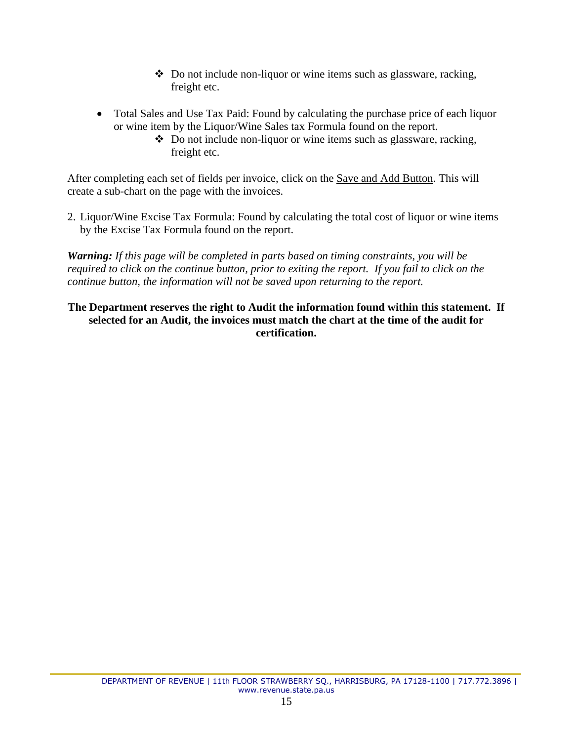- ❖ Do not include non-liquor or wine items such as glassware, racking, freight etc.
- Total Sales and Use Tax Paid: Found by calculating the purchase price of each liquor or wine item by the Liquor/Wine Sales tax Formula found on the report.
	- ❖ Do not include non-liquor or wine items such as glassware, racking, freight etc.

After completing each set of fields per invoice, click on the Save and Add Button. This will create a sub-chart on the page with the invoices.

2. Liquor/Wine Excise Tax Formula: Found by calculating the total cost of liquor or wine items by the Excise Tax Formula found on the report.

*Warning: If this page will be completed in parts based on timing constraints, you will be required to click on the continue button, prior to exiting the report. If you fail to click on the continue button, the information will not be saved upon returning to the report.* 

## **The Department reserves the right to Audit the information found within this statement. If selected for an Audit, the invoices must match the chart at the time of the audit for certification.**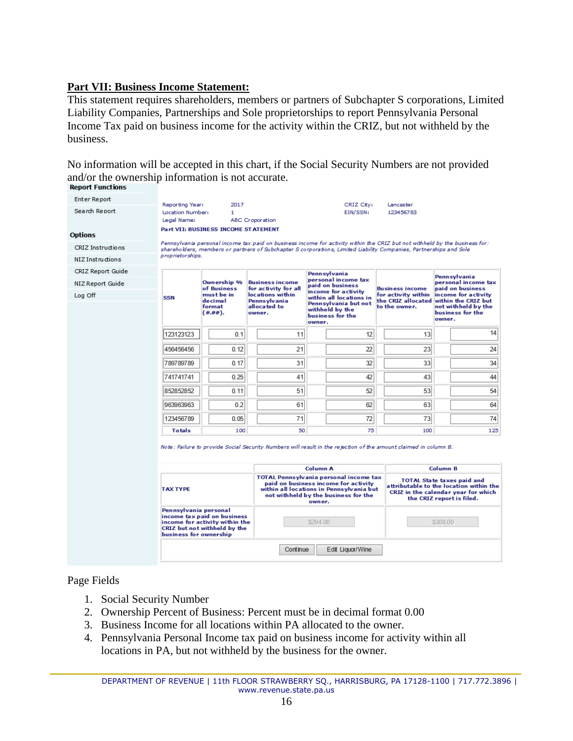# <span id="page-15-0"></span>**Part VII: Business Income Statement:**

This statement requires shareholders, members or partners of Subchapter S corporations, Limited Liability Companies, Partnerships and Sole proprietorships to report Pennsylvania Personal Income Tax paid on business income for the activity within the CRIZ, but not withheld by the business.

No information will be accepted in this chart, if the Social Security Numbers are not provided and/or the ownership information is not accurate.<br>Report Functions

| Enter Report      | Reporting Year:                                                                                                                                  | 2017                                                                                                                                   |                                                                                                                                    | CRIZ City:                                                                                                                   | Lancaster                                                                |                                                                                                                                                  |  |  |
|-------------------|--------------------------------------------------------------------------------------------------------------------------------------------------|----------------------------------------------------------------------------------------------------------------------------------------|------------------------------------------------------------------------------------------------------------------------------------|------------------------------------------------------------------------------------------------------------------------------|--------------------------------------------------------------------------|--------------------------------------------------------------------------------------------------------------------------------------------------|--|--|
| Search Report     | Location Number:                                                                                                                                 | 1                                                                                                                                      |                                                                                                                                    | EIN/SSN:                                                                                                                     | 123456783                                                                |                                                                                                                                                  |  |  |
|                   | Legal Name:                                                                                                                                      |                                                                                                                                        | ABC Croporation                                                                                                                    |                                                                                                                              |                                                                          |                                                                                                                                                  |  |  |
| <b>Options</b>    |                                                                                                                                                  | <b>Part VII: BUSINESS INCOME STATEMENT</b>                                                                                             |                                                                                                                                    |                                                                                                                              |                                                                          |                                                                                                                                                  |  |  |
| CRIZ Instructions |                                                                                                                                                  |                                                                                                                                        |                                                                                                                                    | Pennsylvania personal income tax paid on business income for activity within the CRIZ but not withheld by the business for : |                                                                          |                                                                                                                                                  |  |  |
| NIZ Instructions  |                                                                                                                                                  | shareholders, members or partners of Subchapter S corporations, Limited Liability Companies, Partnerships and Sole<br>proprietorships. |                                                                                                                                    |                                                                                                                              |                                                                          |                                                                                                                                                  |  |  |
| CRIZ Report Guide |                                                                                                                                                  |                                                                                                                                        |                                                                                                                                    | Pennsylvania                                                                                                                 |                                                                          |                                                                                                                                                  |  |  |
| NIZ Report Guide  |                                                                                                                                                  | Ownership %                                                                                                                            | <b>Business income</b>                                                                                                             | personal income tax<br>paid on business                                                                                      |                                                                          | Pennsylvania<br>personal income tax<br>paid on business<br>income for activity                                                                   |  |  |
| Log Off           | <b>SSN</b>                                                                                                                                       | of Business<br>must be in                                                                                                              | for activity for all<br>locations within                                                                                           | income for activity<br>within all locations in                                                                               | <b>Business income</b><br>for activity within                            |                                                                                                                                                  |  |  |
|                   | decimal<br>format<br>$($ #.##).                                                                                                                  | <b>Pennsylvania</b><br>allocated to<br>owner.                                                                                          | Pennsylvania but not<br>withheld by the<br>business for the<br>owner.                                                              | the CRIZ allocated<br>to the owner.                                                                                          | within the CRIZ but<br>not withheld by the<br>business for the<br>owner. |                                                                                                                                                  |  |  |
|                   | 123123123                                                                                                                                        | 0.1                                                                                                                                    | 11                                                                                                                                 | 12                                                                                                                           | 13                                                                       | 14                                                                                                                                               |  |  |
|                   | 456456456                                                                                                                                        | 0.12                                                                                                                                   | 21                                                                                                                                 | 22                                                                                                                           | 23                                                                       | 24                                                                                                                                               |  |  |
|                   | 789789789                                                                                                                                        | 0.17                                                                                                                                   | 31                                                                                                                                 | 32                                                                                                                           | 33                                                                       | 34                                                                                                                                               |  |  |
|                   | 741741741                                                                                                                                        | 0.25                                                                                                                                   | 41                                                                                                                                 | 42                                                                                                                           | 43                                                                       | 44                                                                                                                                               |  |  |
|                   | 852852852                                                                                                                                        | 0.11                                                                                                                                   | 51                                                                                                                                 | 52                                                                                                                           | 53                                                                       | 54                                                                                                                                               |  |  |
|                   | 963963963                                                                                                                                        | 0.2                                                                                                                                    | 61                                                                                                                                 | 62                                                                                                                           | 63                                                                       | 64                                                                                                                                               |  |  |
|                   | 123456789                                                                                                                                        | 0.05                                                                                                                                   | 71                                                                                                                                 | 72                                                                                                                           | 73                                                                       | 74                                                                                                                                               |  |  |
|                   | <b>Totals</b>                                                                                                                                    | 100                                                                                                                                    | 50                                                                                                                                 | 75                                                                                                                           | 100                                                                      | 125                                                                                                                                              |  |  |
|                   | Note: Failure to provide Social Security Numbers will result in the rejection of the amount claimed in column B.<br>Column B<br><b>Column A</b>  |                                                                                                                                        |                                                                                                                                    |                                                                                                                              |                                                                          |                                                                                                                                                  |  |  |
|                   |                                                                                                                                                  |                                                                                                                                        |                                                                                                                                    | <b>TOTAL Pennsylvania personal income tax</b>                                                                                |                                                                          | <b>TOTAL State taxes paid and</b><br>attributable to the location within the<br>CRIZ in the calendar year for which<br>the CRIZ report is filed. |  |  |
|                   | <b>TAX TYPE</b>                                                                                                                                  |                                                                                                                                        | paid on business income for activity<br>within all locations in Pennsylvania but<br>not withheld by the business for the<br>owner. |                                                                                                                              |                                                                          |                                                                                                                                                  |  |  |
|                   | Pennsylvania personal<br>income tax paid on business<br>income for activity within the<br>CRIZ but not withheld by the<br>business for ownership |                                                                                                                                        | \$294 00                                                                                                                           |                                                                                                                              |                                                                          | \$308.00                                                                                                                                         |  |  |
|                   |                                                                                                                                                  |                                                                                                                                        | Continue                                                                                                                           | Edit Liquor/Wine                                                                                                             |                                                                          |                                                                                                                                                  |  |  |

- 1. Social Security Number
- 2. Ownership Percent of Business: Percent must be in decimal format 0.00
- 3. Business Income for all locations within PA allocated to the owner.
- 4. Pennsylvania Personal Income tax paid on business income for activity within all locations in PA, but not withheld by the business for the owner.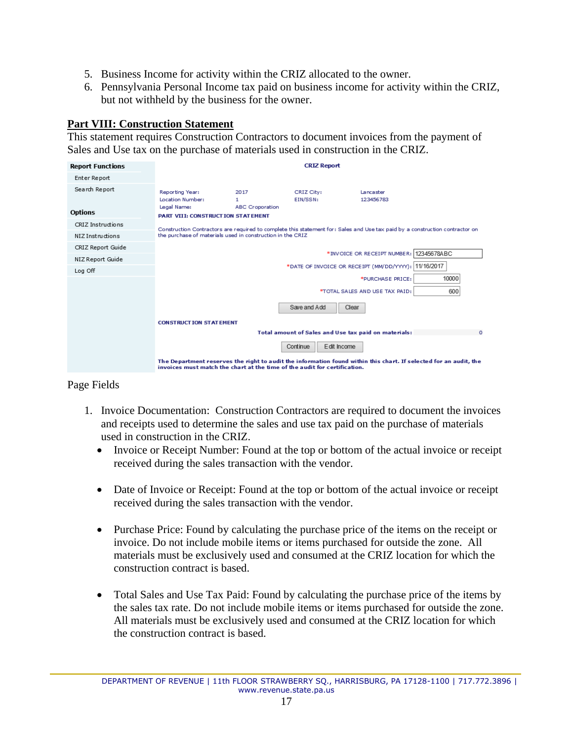- 5. Business Income for activity within the CRIZ allocated to the owner.
- 6. Pennsylvania Personal Income tax paid on business income for activity within the CRIZ, but not withheld by the business for the owner.

# <span id="page-16-0"></span>**Part VIII: Construction Statement**

This statement requires Construction Contractors to document invoices from the payment of Sales and Use tax on the purchase of materials used in construction in the CRIZ.

| <b>Report Functions</b> |                                                                                                                                                                                                |                                     | <b>CRIZ Report</b>                                   |                                |          |
|-------------------------|------------------------------------------------------------------------------------------------------------------------------------------------------------------------------------------------|-------------------------------------|------------------------------------------------------|--------------------------------|----------|
| Enter Report            |                                                                                                                                                                                                |                                     |                                                      |                                |          |
| Search Report           | Reporting Year:<br>Location Number:<br>Legal Name:                                                                                                                                             | 2017<br>1<br><b>ABC Croporation</b> | CRIZ City:<br>EIN/SSN:                               | Lancaster<br>123456783         |          |
| <b>Options</b>          | <b>PART VIII: CONSTRUCTION STATEMENT</b>                                                                                                                                                       |                                     |                                                      |                                |          |
| CRIZ Instructions       | Construction Contractors are required to complete this statement for: Sales and Use tax paid by a construction contractor on<br>the purchase of materials used in construction in the CRIZ     |                                     |                                                      |                                |          |
| NIZ Instructions        |                                                                                                                                                                                                |                                     |                                                      |                                |          |
| CRIZ Report Guide       |                                                                                                                                                                                                |                                     |                                                      |                                |          |
| NIZ Report Guide        | *INVOICE OR RECEIPT NUMBER: 12345678ABC<br>11/16/2017<br>*DATE OF INVOICE OR RECEIPT (MM/DD/YYYY):                                                                                             |                                     |                                                      |                                |          |
| Log Off                 |                                                                                                                                                                                                |                                     |                                                      |                                |          |
|                         |                                                                                                                                                                                                |                                     |                                                      | *PURCHASE PRICE:               | 10000    |
|                         |                                                                                                                                                                                                |                                     |                                                      | *TOTAL SALES AND USE TAX PAID: | 600      |
|                         |                                                                                                                                                                                                |                                     | Save and Add<br>Clear                                |                                |          |
|                         | <b>CONSTRUCT ION STATEMENT</b>                                                                                                                                                                 |                                     |                                                      |                                |          |
|                         |                                                                                                                                                                                                |                                     | Total amount of Sales and Use tax paid on materials: |                                | $\Omega$ |
|                         |                                                                                                                                                                                                |                                     | Edit Income<br>Continue                              |                                |          |
|                         | The Department reserves the right to audit the information found within this chart. If selected for an audit, the<br>invoices must match the chart at the time of the audit for certification. |                                     |                                                      |                                |          |

- 1. Invoice Documentation: Construction Contractors are required to document the invoices and receipts used to determine the sales and use tax paid on the purchase of materials used in construction in the CRIZ.
	- Invoice or Receipt Number: Found at the top or bottom of the actual invoice or receipt received during the sales transaction with the vendor.
	- Date of Invoice or Receipt: Found at the top or bottom of the actual invoice or receipt received during the sales transaction with the vendor.
	- Purchase Price: Found by calculating the purchase price of the items on the receipt or invoice. Do not include mobile items or items purchased for outside the zone. All materials must be exclusively used and consumed at the CRIZ location for which the construction contract is based.
	- Total Sales and Use Tax Paid: Found by calculating the purchase price of the items by the sales tax rate. Do not include mobile items or items purchased for outside the zone. All materials must be exclusively used and consumed at the CRIZ location for which the construction contract is based.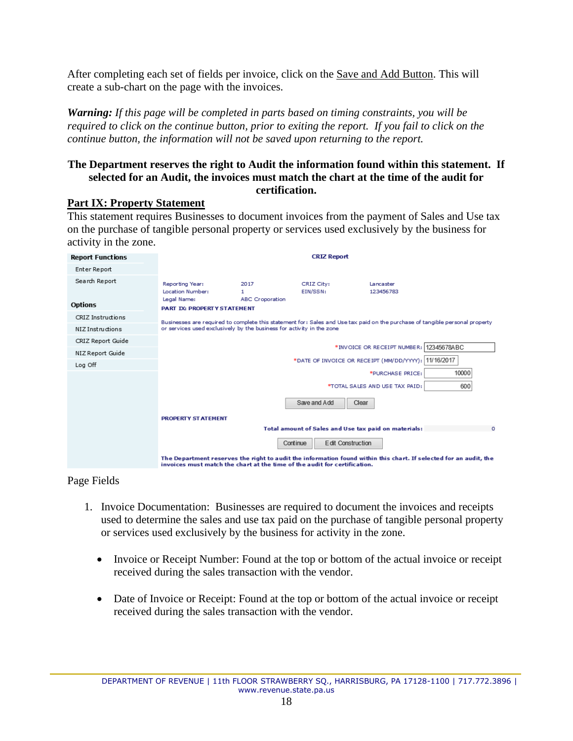After completing each set of fields per invoice, click on the Save and Add Button. This will create a sub-chart on the page with the invoices.

*Warning: If this page will be completed in parts based on timing constraints, you will be required to click on the continue button, prior to exiting the report. If you fail to click on the continue button, the information will not be saved upon returning to the report.* 

#### **The Department reserves the right to Audit the information found within this statement. If selected for an Audit, the invoices must match the chart at the time of the audit for certification.**

## <span id="page-17-0"></span>**Part IX: Property Statement**

This statement requires Businesses to document invoices from the payment of Sales and Use tax on the purchase of tangible personal property or services used exclusively by the business for activity in the zone.

| <b>Report Functions</b> |                                                                                                                                                                                                       |                                     | <b>CRIZ Report</b>                                   |                                                                                                                   |  |
|-------------------------|-------------------------------------------------------------------------------------------------------------------------------------------------------------------------------------------------------|-------------------------------------|------------------------------------------------------|-------------------------------------------------------------------------------------------------------------------|--|
| Enter Report            |                                                                                                                                                                                                       |                                     |                                                      |                                                                                                                   |  |
| Search Report           | Reporting Year:<br>Location Number:<br>Legal Name:                                                                                                                                                    | 2017<br>1<br><b>ABC</b> Croporation | CRIZ City:<br>EIN/SSN:                               | Lancaster<br>123456783                                                                                            |  |
| <b>Options</b>          | <b>PART IX: PROPERTY STATEMENT</b>                                                                                                                                                                    |                                     |                                                      |                                                                                                                   |  |
| CRIZ Instructions       | Businesses are required to complete this statement for: Sales and Use tax paid on the purchase of tangible personal property<br>or services used exclusively by the business for activity in the zone |                                     |                                                      |                                                                                                                   |  |
| NIZ Instructions        |                                                                                                                                                                                                       |                                     |                                                      |                                                                                                                   |  |
| CRIZ Report Guide       |                                                                                                                                                                                                       |                                     |                                                      |                                                                                                                   |  |
| NIZ Report Guide        | *INVOICE OR RECEIPT NUMBER: 12345678ABC                                                                                                                                                               |                                     |                                                      |                                                                                                                   |  |
| Log Off                 | 11/16/2017<br>*DATE OF INVOICE OR RECEIPT (MM/DD/YYYY):                                                                                                                                               |                                     |                                                      |                                                                                                                   |  |
|                         |                                                                                                                                                                                                       |                                     |                                                      | 10000<br>*PURCHASE PRICE:                                                                                         |  |
|                         |                                                                                                                                                                                                       |                                     |                                                      | 600<br>*TOTAL SALES AND USE TAX PAID:                                                                             |  |
|                         |                                                                                                                                                                                                       |                                     | Save and Add<br>Clear                                |                                                                                                                   |  |
|                         | <b>PROPERTY STATEMENT</b>                                                                                                                                                                             |                                     |                                                      |                                                                                                                   |  |
|                         |                                                                                                                                                                                                       |                                     | Total amount of Sales and Use tax paid on materials: | $\circ$                                                                                                           |  |
|                         |                                                                                                                                                                                                       |                                     | <b>Edit Construction</b><br>Continue                 |                                                                                                                   |  |
|                         | invoices must match the chart at the time of the audit for certification.                                                                                                                             |                                     |                                                      | The Department reserves the right to audit the information found within this chart. If selected for an audit, the |  |

Page Fields

- 1. Invoice Documentation: Businesses are required to document the invoices and receipts used to determine the sales and use tax paid on the purchase of tangible personal property or services used exclusively by the business for activity in the zone.
	- Invoice or Receipt Number: Found at the top or bottom of the actual invoice or receipt received during the sales transaction with the vendor.
	- Date of Invoice or Receipt: Found at the top or bottom of the actual invoice or receipt received during the sales transaction with the vendor.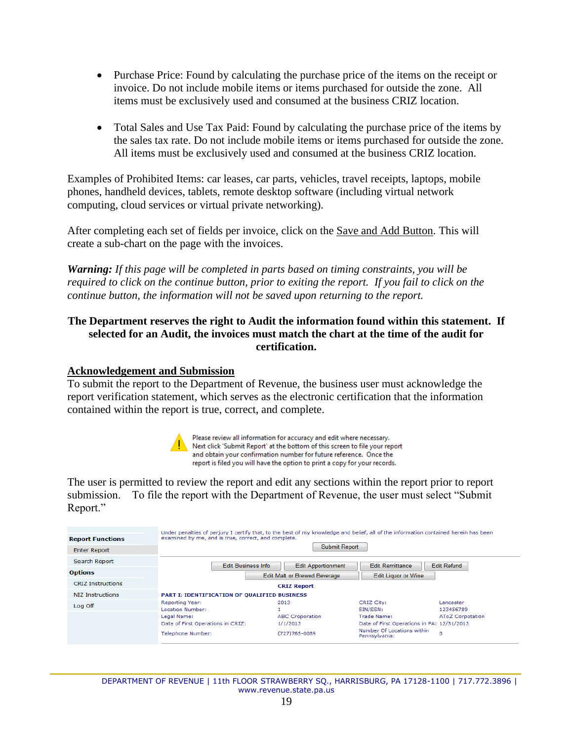- Purchase Price: Found by calculating the purchase price of the items on the receipt or invoice. Do not include mobile items or items purchased for outside the zone. All items must be exclusively used and consumed at the business CRIZ location.
- Total Sales and Use Tax Paid: Found by calculating the purchase price of the items by the sales tax rate. Do not include mobile items or items purchased for outside the zone. All items must be exclusively used and consumed at the business CRIZ location.

Examples of Prohibited Items: car leases, car parts, vehicles, travel receipts, laptops, mobile phones, handheld devices, tablets, remote desktop software (including virtual network computing, cloud services or virtual private networking).

After completing each set of fields per invoice, click on the Save and Add Button. This will create a sub-chart on the page with the invoices.

*Warning: If this page will be completed in parts based on timing constraints, you will be required to click on the continue button, prior to exiting the report. If you fail to click on the continue button, the information will not be saved upon returning to the report.* 

## **The Department reserves the right to Audit the information found within this statement. If selected for an Audit, the invoices must match the chart at the time of the audit for certification.**

#### <span id="page-18-0"></span>**Acknowledgement and Submission**

To submit the report to the Department of Revenue, the business user must acknowledge the report verification statement, which serves as the electronic certification that the information contained within the report is true, correct, and complete.



Please review all information for accuracy and edit where necessary. Next click 'Submit Report' at the bottom of this screen to file your report and obtain your confirmation number for future reference. Once the report is filed you will have the option to print a copy for your records.

The user is permitted to review the report and edit any sections within the report prior to report submission. To file the report with the Department of Revenue, the user must select "Submit Report."

| <b>Report Functions</b>  | Under penalties of perjury I certify that, to the best of my knowledge and belief, all of the information contained herein has been<br>examined by me, and is true, correct, and complete. |                                                         |                                                                                                          |                              |
|--------------------------|--------------------------------------------------------------------------------------------------------------------------------------------------------------------------------------------|---------------------------------------------------------|----------------------------------------------------------------------------------------------------------|------------------------------|
| <b>Enter Report</b>      |                                                                                                                                                                                            | Submit Report                                           |                                                                                                          |                              |
| Search Report            | <b>Edit Business Info</b>                                                                                                                                                                  | <b>Edit Apportionment</b>                               | <b>Edit Remittance</b>                                                                                   | <b>Edit Refund</b>           |
| <b>Options</b>           |                                                                                                                                                                                            | <b>Edit Malt or Brewed Beverage</b>                     | <b>Edit Liquor or Wine</b>                                                                               |                              |
| <b>CRIZ Instructions</b> |                                                                                                                                                                                            | <b>CRIZ Report</b>                                      |                                                                                                          |                              |
| NIZ Instructions         | <b>PART I: IDENTIFICATION OF QUALIFIED BUSINESS</b>                                                                                                                                        |                                                         |                                                                                                          |                              |
| Log Off                  | Reporting Year:<br>Location Number:                                                                                                                                                        | 2013                                                    | CRIZ City:<br>EIN/SSN:                                                                                   | Lancaster<br>123456789       |
|                          | Legal Name:<br>Date of First Operations in CRIZ:<br>Telephone Number:                                                                                                                      | <b>ABC</b> Croporation<br>1/1/2013<br>$(727)765 - 0089$ | Trade Name:<br>Date of First Operations in PA: 12/31/2013<br>Number Of Locations within<br>Pennsylvania: | <b>AToZ Corpotation</b><br>3 |